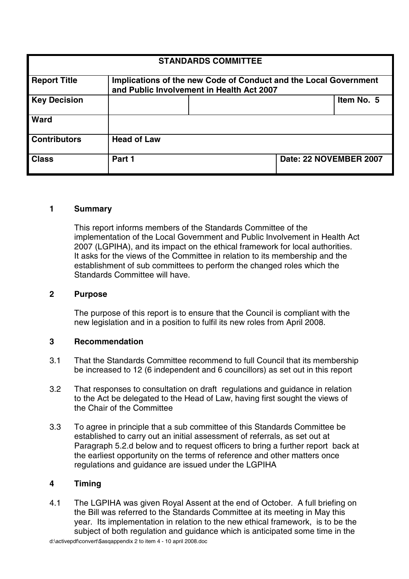| <b>STANDARDS COMMITTEE</b> |                                                                                                               |  |                        |            |
|----------------------------|---------------------------------------------------------------------------------------------------------------|--|------------------------|------------|
| <b>Report Title</b>        | Implications of the new Code of Conduct and the Local Government<br>and Public Involvement in Health Act 2007 |  |                        |            |
| <b>Key Decision</b>        |                                                                                                               |  |                        | Item No. 5 |
| Ward                       |                                                                                                               |  |                        |            |
| <b>Contributors</b>        | <b>Head of Law</b>                                                                                            |  |                        |            |
| <b>Class</b>               | Part 1                                                                                                        |  | Date: 22 NOVEMBER 2007 |            |

# **1 Summary**

This report informs members of the Standards Committee of the implementation of the Local Government and Public Involvement in Health Act 2007 (LGPIHA), and its impact on the ethical framework for local authorities. It asks for the views of the Committee in relation to its membership and the establishment of sub committees to perform the changed roles which the Standards Committee will have.

#### **2 Purpose**

The purpose of this report is to ensure that the Council is compliant with the new legislation and in a position to fulfil its new roles from April 2008.

#### **3 Recommendation**

- 3.1 That the Standards Committee recommend to full Council that its membership be increased to 12 (6 independent and 6 councillors) as set out in this report
- 3.2 That responses to consultation on draft regulations and guidance in relation to the Act be delegated to the Head of Law, having first sought the views of the Chair of the Committee
- 3.3 To agree in principle that a sub committee of this Standards Committee be established to carry out an initial assessment of referrals, as set out at Paragraph 5.2.d below and to request officers to bring a further report back at the earliest opportunity on the terms of reference and other matters once regulations and guidance are issued under the LGPIHA

## **4 Timing**

4.1 The LGPIHA was given Royal Assent at the end of October. A full briefing on the Bill was referred to the Standards Committee at its meeting in May this year. Its implementation in relation to the new ethical framework, is to be the subject of both regulation and guidance which is anticipated some time in the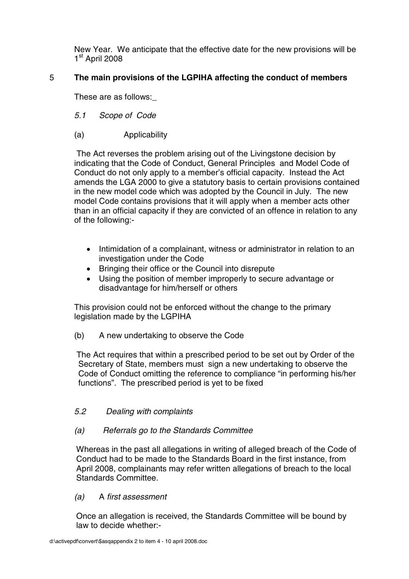New Year. We anticipate that the effective date for the new provisions will be  $1<sup>st</sup>$  April 2008

# 5 **The main provisions of the LGPIHA affecting the conduct of members**

These are as follows:\_

- 5.1 Scope of Code
- (a) Applicability

The Act reverses the problem arising out of the Livingstone decision by indicating that the Code of Conduct, General Principles and Model Code of Conduct do not only apply to a member's official capacity. Instead the Act amends the LGA 2000 to give a statutory basis to certain provisions contained in the new model code which was adopted by the Council in July. The new model Code contains provisions that it will apply when a member acts other than in an official capacity if they are convicted of an offence in relation to any of the following:-

- Intimidation of a complainant, witness or administrator in relation to an investigation under the Code
- Bringing their office or the Council into disrepute
- Using the position of member improperly to secure advantage or disadvantage for him/herself or others

This provision could not be enforced without the change to the primary legislation made by the LGPIHA

(b) A new undertaking to observe the Code

The Act requires that within a prescribed period to be set out by Order of the Secretary of State, members must sign a new undertaking to observe the Code of Conduct omitting the reference to compliance "in performing his/her functions". The prescribed period is yet to be fixed

## 5.2 Dealing with complaints

## (a) Referrals go to the Standards Committee

Whereas in the past all allegations in writing of alleged breach of the Code of Conduct had to be made to the Standards Board in the first instance, from April 2008, complainants may refer written allegations of breach to the local Standards Committee.

## (a) A first assessment

Once an allegation is received, the Standards Committee will be bound by law to decide whether:-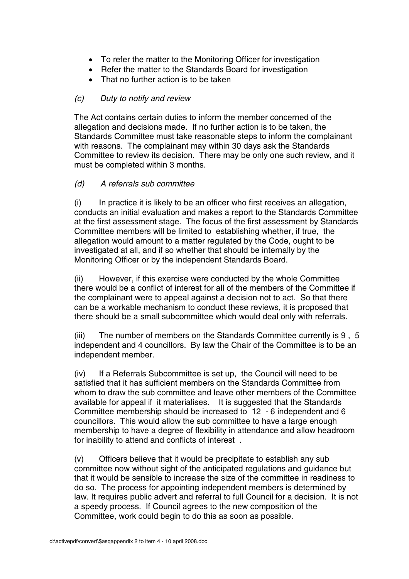- To refer the matter to the Monitoring Officer for investigation
- Refer the matter to the Standards Board for investigation
- That no further action is to be taken

# (c) Duty to notify and review

The Act contains certain duties to inform the member concerned of the allegation and decisions made. If no further action is to be taken, the Standards Committee must take reasonable steps to inform the complainant with reasons. The complainant may within 30 days ask the Standards Committee to review its decision. There may be only one such review, and it must be completed within 3 months.

# (d) A referrals sub committee

 $(i)$  In practice it is likely to be an officer who first receives an allegation, conducts an initial evaluation and makes a report to the Standards Committee at the first assessment stage. The focus of the first assessment by Standards Committee members will be limited to establishing whether, if true, the allegation would amount to a matter regulated by the Code, ought to be investigated at all, and if so whether that should be internally by the Monitoring Officer or by the independent Standards Board.

(ii) However, if this exercise were conducted by the whole Committee there would be a conflict of interest for all of the members of the Committee if the complainant were to appeal against a decision not to act. So that there can be a workable mechanism to conduct these reviews, it is proposed that there should be a small subcommittee which would deal only with referrals.

(iii) The number of members on the Standards Committee currently is 9 , 5 independent and 4 councillors. By law the Chair of the Committee is to be an independent member.

(iv) If a Referrals Subcommittee is set up, the Council will need to be satisfied that it has sufficient members on the Standards Committee from whom to draw the sub committee and leave other members of the Committee available for appeal if it materialises. It is suggested that the Standards Committee membership should be increased to 12 - 6 independent and 6 councillors. This would allow the sub committee to have a large enough membership to have a degree of flexibility in attendance and allow headroom for inability to attend and conflicts of interest .

(v) Officers believe that it would be precipitate to establish any sub committee now without sight of the anticipated regulations and guidance but that it would be sensible to increase the size of the committee in readiness to do so. The process for appointing independent members is determined by law. It requires public advert and referral to full Council for a decision. It is not a speedy process. If Council agrees to the new composition of the Committee, work could begin to do this as soon as possible.